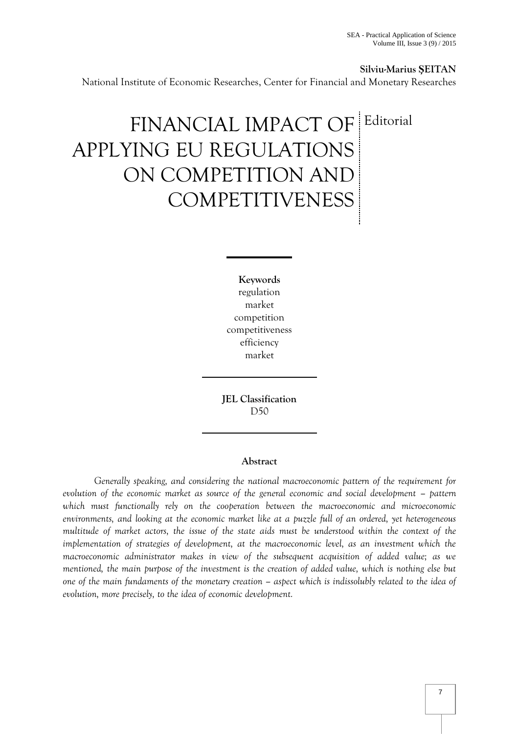**Silviu-Marius ŞEITAN**

National Institute of Economic Researches, Center for Financial and Monetary Researches

# FINANCIAL IMPACT OF Editorial APPLYING EU REGULATIONS ON COMPETITION AND COMPETITIVENESS

**Keywords** regulation market competition competitiveness efficiency market

**JEL Classification**  D50

## **Abstract**

*Generally speaking, and considering the national macroeconomic pattern of the requirement for evolution of the economic market as source of the general economic and social development – pattern* which must functionally rely on the cooperation between the macroeconomic and microeconomic *environments, and looking at the economic market like at a puzzle full of an ordered, yet heterogeneous multitude of market actors, the issue of the state aids must be understood within the context of the implementation of strategies of development, at the macroeconomic level, as an investment which the macroeconomic administrator makes in view of the subsequent acquisition of added value; as we mentioned, the main purpose of the investment is the creation of added value, which is nothing else but one of the main fundaments of the monetary creation – aspect which is indissolubly related to the idea of evolution, more precisely, to the idea of economic development.*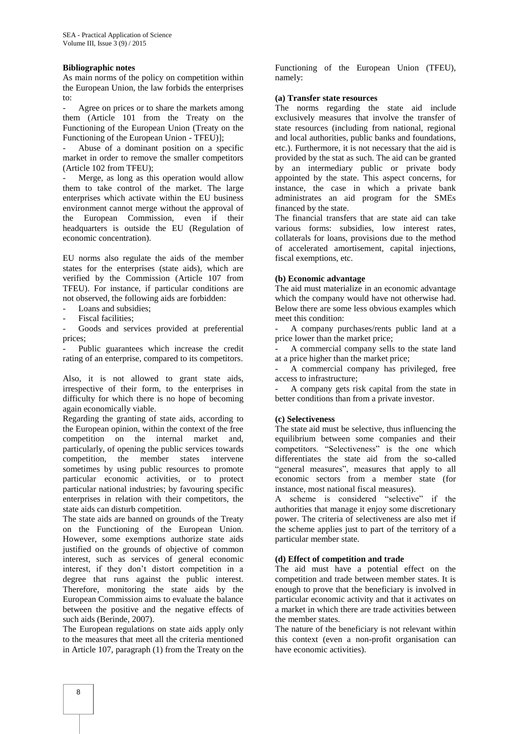### **Bibliographic notes**

As main norms of the policy on competition within the European Union, the law forbids the enterprises to:

Agree on prices or to share the markets among them (Article 101 from the Treaty on the Functioning of the European Union (Treaty on the Functioning of the European Union - TFEU)];

- Abuse of a dominant position on a specific market in order to remove the smaller competitors (Article 102 from TFEU);

Merge, as long as this operation would allow them to take control of the market. The large enterprises which activate within the EU business environment cannot merge without the approval of the European Commission, even if their headquarters is outside the EU (Regulation of economic concentration).

EU norms also regulate the aids of the member states for the enterprises (state aids), which are verified by the Commission (Article 107 from TFEU). For instance, if particular conditions are not observed, the following aids are forbidden:

- Loans and subsidies;
- Fiscal facilities:

Goods and services provided at preferential prices;

Public guarantees which increase the credit rating of an enterprise, compared to its competitors.

Also, it is not allowed to grant state aids, irrespective of their form, to the enterprises in difficulty for which there is no hope of becoming again economically viable.

Regarding the granting of state aids, according to the European opinion, within the context of the free competition on the internal market and, particularly, of opening the public services towards competition, the member states intervene sometimes by using public resources to promote particular economic activities, or to protect particular national industries; by favouring specific enterprises in relation with their competitors, the state aids can disturb competition.

The state aids are banned on grounds of the Treaty on the Functioning of the European Union. However, some exemptions authorize state aids justified on the grounds of objective of common interest, such as services of general economic interest, if they don't distort competition in a degree that runs against the public interest. Therefore, monitoring the state aids by the European Commission aims to evaluate the balance between the positive and the negative effects of such aids (Berinde, 2007).

The European regulations on state aids apply only to the measures that meet all the criteria mentioned in Article 107, paragraph (1) from the Treaty on the

Functioning of the European Union (TFEU), namely:

#### **(a) Transfer state resources**

The norms regarding the state aid include exclusively measures that involve the transfer of state resources (including from national, regional and local authorities, public banks and foundations, etc.). Furthermore, it is not necessary that the aid is provided by the stat as such. The aid can be granted by an intermediary public or private body appointed by the state. This aspect concerns, for instance, the case in which a private bank administrates an aid program for the SMEs financed by the state.

The financial transfers that are state aid can take various forms: subsidies, low interest rates, collaterals for loans, provisions due to the method of accelerated amortisement, capital injections, fiscal exemptions, etc.

## **(b) Economic advantage**

The aid must materialize in an economic advantage which the company would have not otherwise had. Below there are some less obvious examples which meet this condition:

A company purchases/rents public land at a price lower than the market price;

A commercial company sells to the state land at a price higher than the market price;

A commercial company has privileged, free access to infrastructure;

- A company gets risk capital from the state in better conditions than from a private investor.

#### **(c) Selectiveness**

The state aid must be selective, thus influencing the equilibrium between some companies and their competitors. "Selectiveness" is the one which differentiates the state aid from the so-called "general measures", measures that apply to all economic sectors from a member state (for instance, most national fiscal measures).

A scheme is considered "selective" if the authorities that manage it enjoy some discretionary power. The criteria of selectiveness are also met if the scheme applies just to part of the territory of a particular member state.

### **(d) Effect of competition and trade**

The aid must have a potential effect on the competition and trade between member states. It is enough to prove that the beneficiary is involved in particular economic activity and that it activates on a market in which there are trade activities between the member states.

The nature of the beneficiary is not relevant within this context (even a non-profit organisation can have economic activities).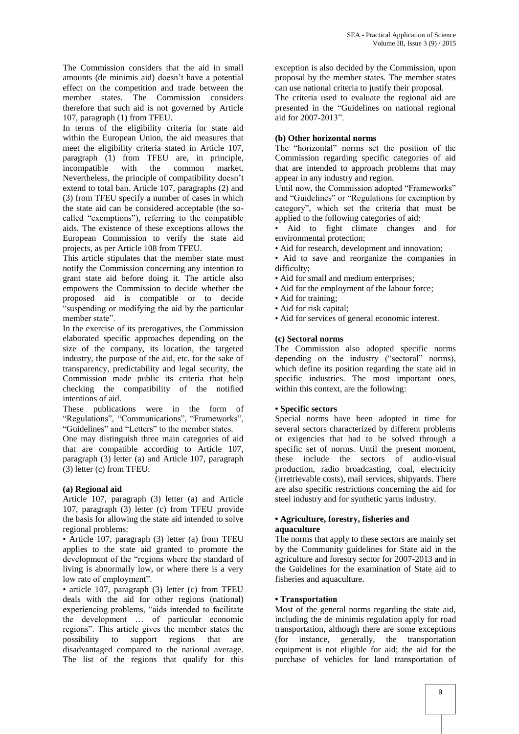The Commission considers that the aid in small amounts (de minimis aid) doesn't have a potential effect on the competition and trade between the member states. The Commission considers therefore that such aid is not governed by Article 107, paragraph (1) from TFEU.

In terms of the eligibility criteria for state aid within the European Union, the aid measures that meet the eligibility criteria stated in Article 107, paragraph (1) from TFEU are, in principle, incompatible with the common market. Nevertheless, the principle of compatibility doesn't extend to total ban. Article 107, paragraphs (2) and (3) from TFEU specify a number of cases in which the state aid can be considered acceptable (the socalled "exemptions"), referring to the compatible aids. The existence of these exceptions allows the European Commission to verify the state aid projects, as per Article 108 from TFEU.

This article stipulates that the member state must notify the Commission concerning any intention to grant state aid before doing it. The article also empowers the Commission to decide whether the proposed aid is compatible or to decide "suspending or modifying the aid by the particular member state".

In the exercise of its prerogatives, the Commission elaborated specific approaches depending on the size of the company, its location, the targeted industry, the purpose of the aid, etc. for the sake of transparency, predictability and legal security, the Commission made public its criteria that help checking the compatibility of the notified intentions of aid.

These publications were in the form of "Regulations", "Communications", "Frameworks", "Guidelines" and "Letters" to the member states.

One may distinguish three main categories of aid that are compatible according to Article 107, paragraph (3) letter (a) and Article 107, paragraph (3) letter (c) from TFEU:

# **(a) Regional aid**

Article 107, paragraph (3) letter (a) and Article 107, paragraph (3) letter (c) from TFEU provide the basis for allowing the state aid intended to solve regional problems:

• Article 107, paragraph (3) letter (a) from TFEU applies to the state aid granted to promote the development of the "regions where the standard of living is abnormally low, or where there is a very low rate of employment".

• article 107, paragraph (3) letter (c) from TFEU deals with the aid for other regions (national) experiencing problems, "aids intended to facilitate the development … of particular economic regions". This article gives the member states the possibility to support regions that are disadvantaged compared to the national average. The list of the regions that qualify for this exception is also decided by the Commission, upon proposal by the member states. The member states can use national criteria to justify their proposal.

The criteria used to evaluate the regional aid are presented in the "Guidelines on national regional aid for 2007-2013".

# **(b) Other horizontal norms**

The "horizontal" norms set the position of the Commission regarding specific categories of aid that are intended to approach problems that may appear in any industry and region.

Until now, the Commission adopted "Frameworks" and "Guidelines" or "Regulations for exemption by category", which set the criteria that must be applied to the following categories of aid:

• Aid to fight climate changes and for environmental protection;

- Aid for research, development and innovation;
- Aid to save and reorganize the companies in difficulty;
- Aid for small and medium enterprises;
- Aid for the employment of the labour force;
- Aid for training;
- Aid for risk capital;
- Aid for services of general economic interest.

## **(c) Sectoral norms**

The Commission also adopted specific norms depending on the industry ("sectoral" norms), which define its position regarding the state aid in specific industries. The most important ones, within this context, are the following:

#### **• Specific sectors**

Special norms have been adopted in time for several sectors characterized by different problems or exigencies that had to be solved through a specific set of norms. Until the present moment, these include the sectors of audio-visual production, radio broadcasting, coal, electricity (irretrievable costs), mail services, shipyards. There are also specific restrictions concerning the aid for steel industry and for synthetic yarns industry.

#### **• Agriculture, forestry, fisheries and aquaculture**

The norms that apply to these sectors are mainly set by the Community guidelines for State aid in the agriculture and forestry sector for 2007-2013 and in the Guidelines for the examination of State aid to fisheries and aquaculture.

#### **• Transportation**

Most of the general norms regarding the state aid, including the de minimis regulation apply for road transportation, although there are some exceptions (for instance, generally, the transportation equipment is not eligible for aid; the aid for the purchase of vehicles for land transportation of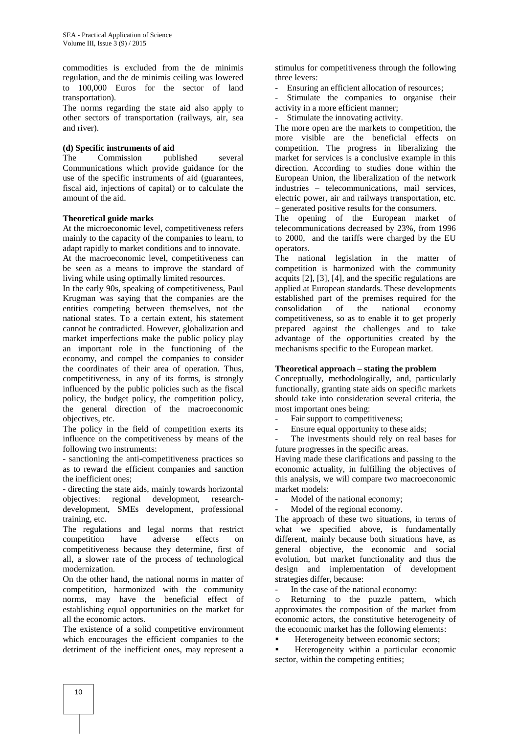commodities is excluded from the de minimis regulation, and the de minimis ceiling was lowered to 100,000 Euros for the sector of land transportation).

The norms regarding the state aid also apply to other sectors of transportation (railways, air, sea and river).

#### **(d) Specific instruments of aid**

The Commission published several Communications which provide guidance for the use of the specific instruments of aid (guarantees, fiscal aid, injections of capital) or to calculate the amount of the aid.

#### **Theoretical guide marks**

At the microeconomic level, competitiveness refers mainly to the capacity of the companies to learn, to adapt rapidly to market conditions and to innovate.

At the macroeconomic level, competitiveness can be seen as a means to improve the standard of living while using optimally limited resources.

In the early 90s, speaking of competitiveness, Paul Krugman was saying that the companies are the entities competing between themselves, not the national states. To a certain extent, his statement cannot be contradicted. However, globalization and market imperfections make the public policy play an important role in the functioning of the economy, and compel the companies to consider the coordinates of their area of operation. Thus, competitiveness, in any of its forms, is strongly influenced by the public policies such as the fiscal policy, the budget policy, the competition policy, the general direction of the macroeconomic objectives, etc.

The policy in the field of competition exerts its influence on the competitiveness by means of the following two instruments:

- sanctioning the anti-competitiveness practices so as to reward the efficient companies and sanction the inefficient ones;

- directing the state aids, mainly towards horizontal objectives: regional development, researchdevelopment, SMEs development, professional training, etc.

The regulations and legal norms that restrict competition have adverse effects on competitiveness because they determine, first of all, a slower rate of the process of technological modernization.

On the other hand, the national norms in matter of competition, harmonized with the community norms, may have the beneficial effect of establishing equal opportunities on the market for all the economic actors.

The existence of a solid competitive environment which encourages the efficient companies to the detriment of the inefficient ones, may represent a

stimulus for competitiveness through the following three levers:

Ensuring an efficient allocation of resources;

Stimulate the companies to organise their activity in a more efficient manner;

Stimulate the innovating activity.

The more open are the markets to competition, the more visible are the beneficial effects on competition. The progress in liberalizing the market for services is a conclusive example in this direction. According to studies done within the European Union, the liberalization of the network industries – telecommunications, mail services, electric power, air and railways transportation, etc. – generated positive results for the consumers.

The opening of the European market of telecommunications decreased by 23%, from 1996 to 2000, and the tariffs were charged by the EU operators.

The national legislation in the matter of competition is harmonized with the community acquits [2], [3], [4], and the specific regulations are applied at European standards. These developments established part of the premises required for the consolidation of the national economy competitiveness, so as to enable it to get properly prepared against the challenges and to take advantage of the opportunities created by the mechanisms specific to the European market.

#### **Theoretical approach – stating the problem**

Conceptually, methodologically, and, particularly functionally, granting state aids on specific markets should take into consideration several criteria, the most important ones being:

- Fair support to competitiveness;
- Ensure equal opportunity to these aids;

The investments should rely on real bases for future progresses in the specific areas.

Having made these clarifications and passing to the economic actuality, in fulfilling the objectives of this analysis, we will compare two macroeconomic market models:

Model of the national economy;

Model of the regional economy.

The approach of these two situations, in terms of what we specified above, is fundamentally different, mainly because both situations have, as general objective, the economic and social evolution, but market functionality and thus the design and implementation of development strategies differ, because:

In the case of the national economy:

Returning to the puzzle pattern, which approximates the composition of the market from economic actors, the constitutive heterogeneity of the economic market has the following elements:

Heterogeneity between economic sectors;

 Heterogeneity within a particular economic sector, within the competing entities;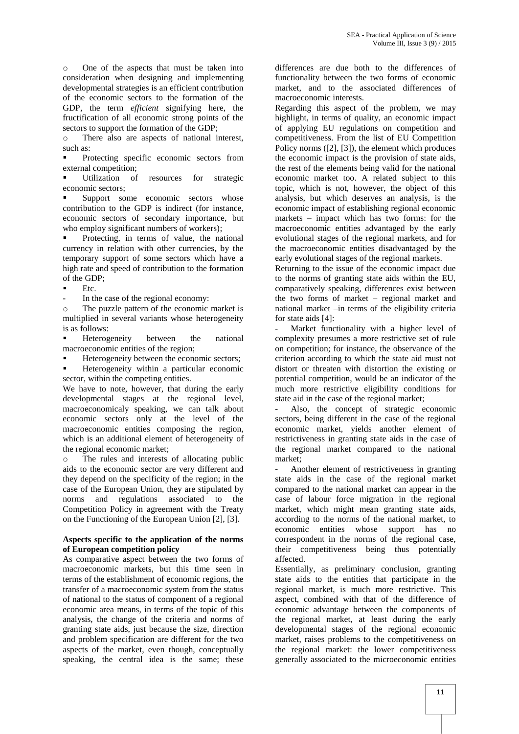o One of the aspects that must be taken into consideration when designing and implementing developmental strategies is an efficient contribution of the economic sectors to the formation of the GDP, the term *efficient* signifying here, the fructification of all economic strong points of the sectors to support the formation of the GDP;

o There also are aspects of national interest, such as:

 Protecting specific economic sectors from external competition;

 Utilization of resources for strategic economic sectors;

 Support some economic sectors whose contribution to the GDP is indirect (for instance, economic sectors of secondary importance, but who employ significant numbers of workers);

 Protecting, in terms of value, the national currency in relation with other currencies, by the temporary support of some sectors which have a high rate and speed of contribution to the formation of the GDP;

Etc.

In the case of the regional economy:

o The puzzle pattern of the economic market is multiplied in several variants whose heterogeneity is as follows:

 Heterogeneity between the national macroeconomic entities of the region;

Heterogeneity between the economic sectors;

 Heterogeneity within a particular economic sector, within the competing entities.

We have to note, however, that during the early developmental stages at the regional level, macroeconomicaly speaking, we can talk about economic sectors only at the level of the macroeconomic entities composing the region, which is an additional element of heterogeneity of the regional economic market;

o The rules and interests of allocating public aids to the economic sector are very different and they depend on the specificity of the region; in the case of the European Union, they are stipulated by norms and regulations associated to the Competition Policy in agreement with the Treaty on the Functioning of the European Union [2], [3].

## **Aspects specific to the application of the norms of European competition policy**

As comparative aspect between the two forms of macroeconomic markets, but this time seen in terms of the establishment of economic regions, the transfer of a macroeconomic system from the status of national to the status of component of a regional economic area means, in terms of the topic of this analysis, the change of the criteria and norms of granting state aids, just because the size, direction and problem specification are different for the two aspects of the market, even though, conceptually speaking, the central idea is the same; these

differences are due both to the differences of functionality between the two forms of economic market, and to the associated differences of macroeconomic interests.

Regarding this aspect of the problem, we may highlight, in terms of quality, an economic impact of applying EU regulations on competition and competitiveness. From the list of EU Competition Policy norms ([2], [3]), the element which produces the economic impact is the provision of state aids, the rest of the elements being valid for the national economic market too. A related subject to this topic, which is not, however, the object of this analysis, but which deserves an analysis, is the economic impact of establishing regional economic markets – impact which has two forms: for the macroeconomic entities advantaged by the early evolutional stages of the regional markets, and for the macroeconomic entities disadvantaged by the early evolutional stages of the regional markets.

Returning to the issue of the economic impact due to the norms of granting state aids within the EU, comparatively speaking, differences exist between the two forms of market – regional market and national market –in terms of the eligibility criteria for state aids [4]:

Market functionality with a higher level of complexity presumes a more restrictive set of rule on competition; for instance, the observance of the criterion according to which the state aid must not distort or threaten with distortion the existing or potential competition, would be an indicator of the much more restrictive eligibility conditions for state aid in the case of the regional market;

Also, the concept of strategic economic sectors, being different in the case of the regional economic market, yields another element of restrictiveness in granting state aids in the case of the regional market compared to the national market;

- Another element of restrictiveness in granting state aids in the case of the regional market compared to the national market can appear in the case of labour force migration in the regional market, which might mean granting state aids, according to the norms of the national market, to economic entities whose support has no correspondent in the norms of the regional case, their competitiveness being thus potentially affected.

Essentially, as preliminary conclusion, granting state aids to the entities that participate in the regional market, is much more restrictive. This aspect, combined with that of the difference of economic advantage between the components of the regional market, at least during the early developmental stages of the regional economic market, raises problems to the competitiveness on the regional market: the lower competitiveness generally associated to the microeconomic entities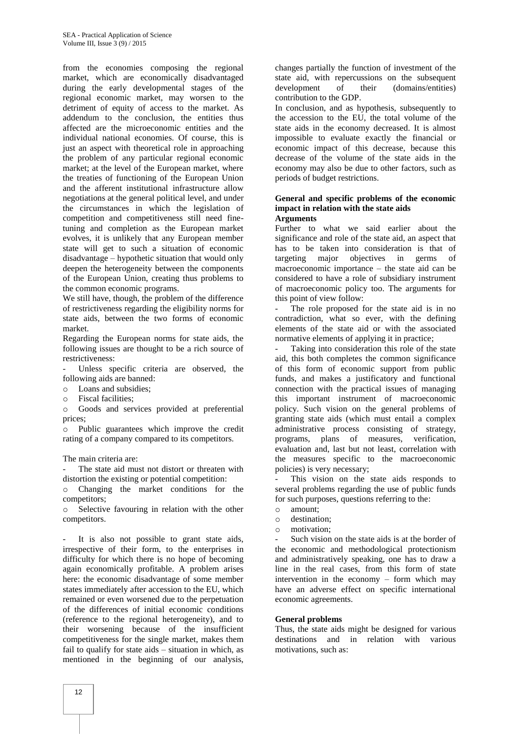from the economies composing the regional market, which are economically disadvantaged during the early developmental stages of the regional economic market, may worsen to the detriment of equity of access to the market. As addendum to the conclusion, the entities thus affected are the microeconomic entities and the individual national economies. Of course, this is just an aspect with theoretical role in approaching the problem of any particular regional economic market; at the level of the European market, where the treaties of functioning of the European Union and the afferent institutional infrastructure allow negotiations at the general political level, and under the circumstances in which the legislation of competition and competitiveness still need finetuning and completion as the European market evolves, it is unlikely that any European member state will get to such a situation of economic disadvantage – hypothetic situation that would only deepen the heterogeneity between the components of the European Union, creating thus problems to the common economic programs.

We still have, though, the problem of the difference of restrictiveness regarding the eligibility norms for state aids, between the two forms of economic market.

Regarding the European norms for state aids, the following issues are thought to be a rich source of restrictiveness:

- Unless specific criteria are observed, the following aids are banned:
- o Loans and subsidies;
- o Fiscal facilities;

o Goods and services provided at preferential prices;

o Public guarantees which improve the credit rating of a company compared to its competitors.

The main criteria are:

The state aid must not distort or threaten with distortion the existing or potential competition:

o Changing the market conditions for the competitors;

o Selective favouring in relation with the other competitors.

It is also not possible to grant state aids, irrespective of their form, to the enterprises in difficulty for which there is no hope of becoming again economically profitable. A problem arises here: the economic disadvantage of some member states immediately after accession to the EU, which remained or even worsened due to the perpetuation of the differences of initial economic conditions (reference to the regional heterogeneity), and to their worsening because of the insufficient competitiveness for the single market, makes them fail to qualify for state aids – situation in which, as mentioned in the beginning of our analysis,

changes partially the function of investment of the state aid, with repercussions on the subsequent development of their (domains/entities) contribution to the GDP.

In conclusion, and as hypothesis, subsequently to the accession to the EU, the total volume of the state aids in the economy decreased. It is almost impossible to evaluate exactly the financial or economic impact of this decrease, because this decrease of the volume of the state aids in the economy may also be due to other factors, such as periods of budget restrictions.

#### **General and specific problems of the economic impact in relation with the state aids Arguments**

Further to what we said earlier about the significance and role of the state aid, an aspect that has to be taken into consideration is that of targeting major objectives in germs of macroeconomic importance – the state aid can be considered to have a role of subsidiary instrument of macroeconomic policy too. The arguments for this point of view follow:

The role proposed for the state aid is in no contradiction, what so ever, with the defining elements of the state aid or with the associated normative elements of applying it in practice;

Taking into consideration this role of the state aid, this both completes the common significance of this form of economic support from public funds, and makes a justificatory and functional connection with the practical issues of managing this important instrument of macroeconomic policy. Such vision on the general problems of granting state aids (which must entail a complex administrative process consisting of strategy, programs, plans of measures, verification, evaluation and, last but not least, correlation with the measures specific to the macroeconomic policies) is very necessary;

This vision on the state aids responds to several problems regarding the use of public funds for such purposes, questions referring to the:

- o amount;
- o destination;
- o motivation;

Such vision on the state aids is at the border of the economic and methodological protectionism and administratively speaking, one has to draw a line in the real cases, from this form of state intervention in the economy – form which may have an adverse effect on specific international economic agreements.

## **General problems**

Thus, the state aids might be designed for various destinations and in relation with various motivations, such as: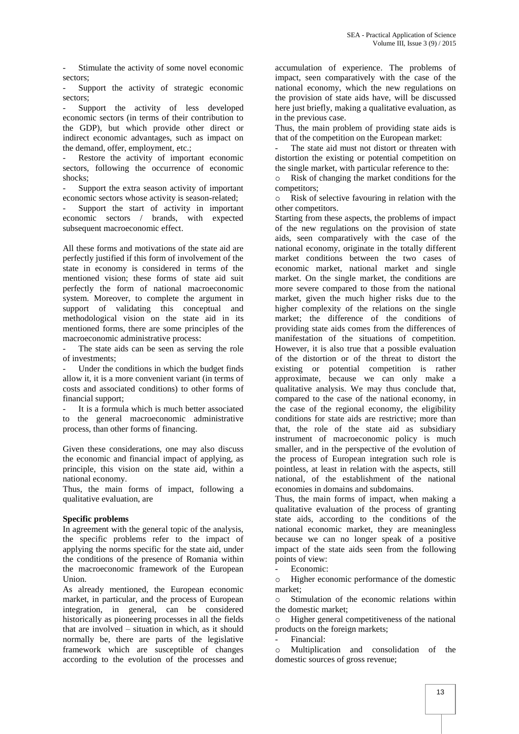Stimulate the activity of some novel economic sectors;

Support the activity of strategic economic sectors;

Support the activity of less developed economic sectors (in terms of their contribution to the GDP), but which provide other direct or indirect economic advantages, such as impact on the demand, offer, employment, etc.;

Restore the activity of important economic sectors, following the occurrence of economic shocks;

Support the extra season activity of important economic sectors whose activity is season-related;

Support the start of activity in important economic sectors / brands, with expected subsequent macroeconomic effect.

All these forms and motivations of the state aid are perfectly justified if this form of involvement of the state in economy is considered in terms of the mentioned vision; these forms of state aid suit perfectly the form of national macroeconomic system. Moreover, to complete the argument in support of validating this conceptual and methodological vision on the state aid in its mentioned forms, there are some principles of the macroeconomic administrative process:

The state aids can be seen as serving the role of investments;

Under the conditions in which the budget finds allow it, it is a more convenient variant (in terms of costs and associated conditions) to other forms of financial support;

It is a formula which is much better associated to the general macroeconomic administrative process, than other forms of financing.

Given these considerations, one may also discuss the economic and financial impact of applying, as principle, this vision on the state aid, within a national economy.

Thus, the main forms of impact, following a qualitative evaluation, are

## **Specific problems**

In agreement with the general topic of the analysis, the specific problems refer to the impact of applying the norms specific for the state aid, under the conditions of the presence of Romania within the macroeconomic framework of the European Union.

As already mentioned, the European economic market, in particular, and the process of European integration, in general, can be considered historically as pioneering processes in all the fields that are involved – situation in which, as it should normally be, there are parts of the legislative framework which are susceptible of changes according to the evolution of the processes and

accumulation of experience. The problems of impact, seen comparatively with the case of the national economy, which the new regulations on the provision of state aids have, will be discussed here just briefly, making a qualitative evaluation, as in the previous case.

Thus, the main problem of providing state aids is that of the competition on the European market:

The state aid must not distort or threaten with distortion the existing or potential competition on the single market, with particular reference to the:

o Risk of changing the market conditions for the competitors;

o Risk of selective favouring in relation with the other competitors.

Starting from these aspects, the problems of impact of the new regulations on the provision of state aids, seen comparatively with the case of the national economy, originate in the totally different market conditions between the two cases of economic market, national market and single market. On the single market, the conditions are more severe compared to those from the national market, given the much higher risks due to the higher complexity of the relations on the single market; the difference of the conditions of providing state aids comes from the differences of manifestation of the situations of competition. However, it is also true that a possible evaluation of the distortion or of the threat to distort the existing or potential competition is rather approximate, because we can only make a qualitative analysis. We may thus conclude that, compared to the case of the national economy, in the case of the regional economy, the eligibility conditions for state aids are restrictive; more than that, the role of the state aid as subsidiary instrument of macroeconomic policy is much smaller, and in the perspective of the evolution of the process of European integration such role is pointless, at least in relation with the aspects, still national, of the establishment of the national economies in domains and subdomains.

Thus, the main forms of impact, when making a qualitative evaluation of the process of granting state aids, according to the conditions of the national economic market, they are meaningless because we can no longer speak of a positive impact of the state aids seen from the following points of view:

Economic:

o Higher economic performance of the domestic market;

o Stimulation of the economic relations within the domestic market;

o Higher general competitiveness of the national products on the foreign markets;

- Financial:

o Multiplication and consolidation of the domestic sources of gross revenue;